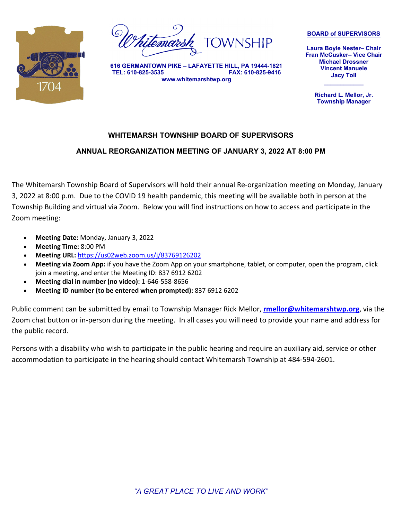

emar

**616 GERMANTOWN PIKE – LAFAYETTE HILL, PA 19444-1821 TEL: 610-825-3535 FAX: 610-825-9416 www.whitemarshtwp.org**

**BOARD of SUPERVISORS**

**Laura Boyle Nester– Chair Fran McCusker– Vice Chair Michael Drossner Vincent Manuele Jacy Toll**

> **Richard L. Mellor, Jr. Township Manager**

**\_\_\_\_\_\_\_\_\_\_\_\_**

# **WHITEMARSH TOWNSHIP BOARD OF SUPERVISORS**

# **ANNUAL REORGANIZATION MEETING OF JANUARY 3, 2022 AT 8:00 PM**

The Whitemarsh Township Board of Supervisors will hold their annual Re-organization meeting on Monday, January 3, 2022 at 8:00 p.m. Due to the COVID 19 health pandemic, this meeting will be available both in person at the Township Building and virtual via Zoom. Below you will find instructions on how to access and participate in the Zoom meeting:

- **Meeting Date:** Monday, January 3, 2022
- **Meeting Time:** 8:00 PM
- **Meeting URL:** <https://us02web.zoom.us/j/83769126202>
- **Meeting via Zoom App:** if you have the Zoom App on your smartphone, tablet, or computer, open the program, click join a meeting, and enter the Meeting ID: 837 6912 6202
- **Meeting dial in number (no video):** 1-646-558-8656
- **Meeting ID number (to be entered when prompted):** 837 6912 6202

Public comment can be submitted by email to Township Manager Rick Mellor, **[rmellor@whitemarshtwp.org](mailto:rmellor@whitemarshtwp.org)**, via the Zoom chat button or in-person during the meeting. In all cases you will need to provide your name and address for the public record.

Persons with a disability who wish to participate in the public hearing and require an auxiliary aid, service or other accommodation to participate in the hearing should contact Whitemarsh Township at 484-594-2601.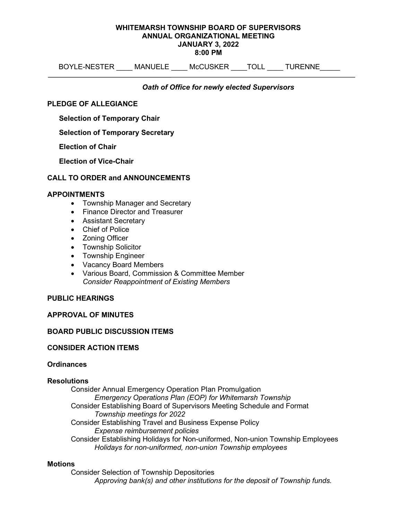#### WHITEMARSH TOWNSHIP BOARD OF SUPERVISORS ANNUAL ORGANIZATIONAL MEETING JANUARY 3, 2022 8:00 PM

BOYLE-NESTER \_\_\_\_ MANUELE \_\_\_\_ McCUSKER \_\_\_\_TOLL \_\_\_\_ TURENNE \_\_\_\_\_

Oath of Office for newly elected Supervisors

# PLEDGE OF ALLEGIANCE

Selection of Temporary Chair

# Selection of Temporary Secretary

Election of Chair

Election of Vice-Chair

# CALL TO ORDER and ANNOUNCEMENTS

# APPOINTMENTS

- Township Manager and Secretary
- Finance Director and Treasurer
- Assistant Secretary
- Chief of Police
- Zoning Officer
- Township Solicitor
- Township Engineer
- Vacancy Board Members
- Various Board, Commission & Committee Member Consider Reappointment of Existing Members

## PUBLIC HEARINGS

## APPROVAL OF MINUTES

## BOARD PUBLIC DISCUSSION ITEMS

## CONSIDER ACTION ITEMS

# **Ordinances**

## **Resolutions**

Consider Annual Emergency Operation Plan Promulgation Emergency Operations Plan (EOP) for Whitemarsh Township Consider Establishing Board of Supervisors Meeting Schedule and Format Township meetings for 2022 Consider Establishing Travel and Business Expense Policy Expense reimbursement policies Consider Establishing Holidays for Non-uniformed, Non-union Township Employees Holidays for non-uniformed, non-union Township employees

## **Motions**

Consider Selection of Township Depositories Approving bank(s) and other institutions for the deposit of Township funds.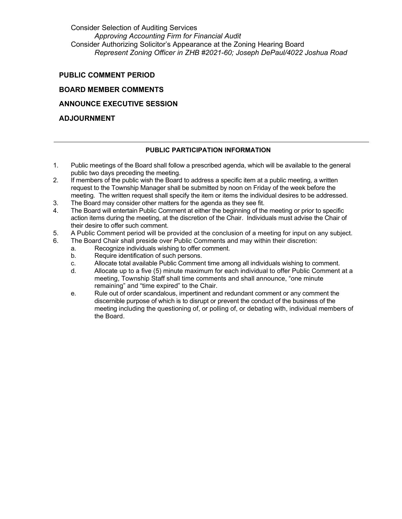Consider Selection of Auditing Services Approving Accounting Firm for Financial Audit Consider Authorizing Solicitor's Appearance at the Zoning Hearing Board Represent Zoning Officer in ZHB #2021-60; Joseph DePaul/4022 Joshua Road

# PUBLIC COMMENT PERIOD

# BOARD MEMBER COMMENTS

# ANNOUNCE EXECUTIVE SESSION

# ADJOURNMENT

## PUBLIC PARTICIPATION INFORMATION

- 1. Public meetings of the Board shall follow a prescribed agenda, which will be available to the general public two days preceding the meeting.
- 2. If members of the public wish the Board to address a specific item at a public meeting, a written request to the Township Manager shall be submitted by noon on Friday of the week before the meeting. The written request shall specify the item or items the individual desires to be addressed.
- 3. The Board may consider other matters for the agenda as they see fit.
- 4. The Board will entertain Public Comment at either the beginning of the meeting or prior to specific action items during the meeting, at the discretion of the Chair. Individuals must advise the Chair of their desire to offer such comment.
- 5. A Public Comment period will be provided at the conclusion of a meeting for input on any subject.
- 6. The Board Chair shall preside over Public Comments and may within their discretion:
	- a. Recognize individuals wishing to offer comment.
	- Require identification of such persons.
	- c. Allocate total available Public Comment time among all individuals wishing to comment.
	- d. Allocate up to a five (5) minute maximum for each individual to offer Public Comment at a meeting, Township Staff shall time comments and shall announce, "one minute remaining" and "time expired" to the Chair.
	- e. Rule out of order scandalous, impertinent and redundant comment or any comment the discernible purpose of which is to disrupt or prevent the conduct of the business of the meeting including the questioning of, or polling of, or debating with, individual members of the Board.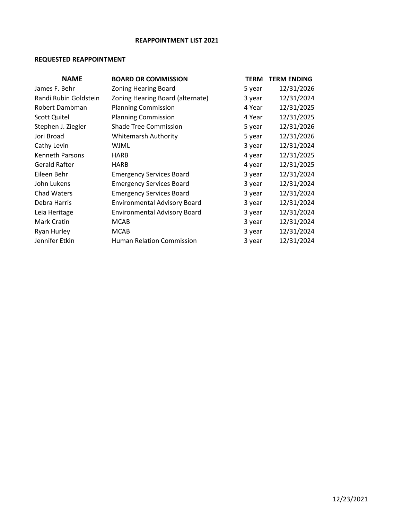# **REAPPOINTMENT LIST 2021**

# **REQUESTED REAPPOINTMENT**

| <b>NAME</b>            | <b>BOARD OR COMMISSION</b>          | <b>TERM</b> | <b>TERM ENDING</b> |
|------------------------|-------------------------------------|-------------|--------------------|
| James F. Behr          | <b>Zoning Hearing Board</b>         | 5 year      | 12/31/2026         |
| Randi Rubin Goldstein  | Zoning Hearing Board (alternate)    | 3 year      | 12/31/2024         |
| Robert Dambman         | <b>Planning Commission</b>          | 4 Year      | 12/31/2025         |
| <b>Scott Quitel</b>    | <b>Planning Commission</b>          | 4 Year      | 12/31/2025         |
| Stephen J. Ziegler     | <b>Shade Tree Commission</b>        | 5 year      | 12/31/2026         |
| Jori Broad             | <b>Whitemarsh Authority</b>         | 5 year      | 12/31/2026         |
| Cathy Levin            | WJML                                | 3 year      | 12/31/2024         |
| <b>Kenneth Parsons</b> | <b>HARB</b>                         | 4 year      | 12/31/2025         |
| <b>Gerald Rafter</b>   | <b>HARB</b>                         | 4 year      | 12/31/2025         |
| Eileen Behr            | <b>Emergency Services Board</b>     | 3 year      | 12/31/2024         |
| John Lukens            | <b>Emergency Services Board</b>     | 3 year      | 12/31/2024         |
| <b>Chad Waters</b>     | <b>Emergency Services Board</b>     | 3 year      | 12/31/2024         |
| Debra Harris           | <b>Environmental Advisory Board</b> | 3 year      | 12/31/2024         |
| Leia Heritage          | <b>Environmental Advisory Board</b> | 3 year      | 12/31/2024         |
| Mark Cratin            | <b>MCAB</b>                         | 3 year      | 12/31/2024         |
| <b>Ryan Hurley</b>     | <b>MCAB</b>                         | 3 year      | 12/31/2024         |
| Jennifer Etkin         | <b>Human Relation Commission</b>    | 3 year      | 12/31/2024         |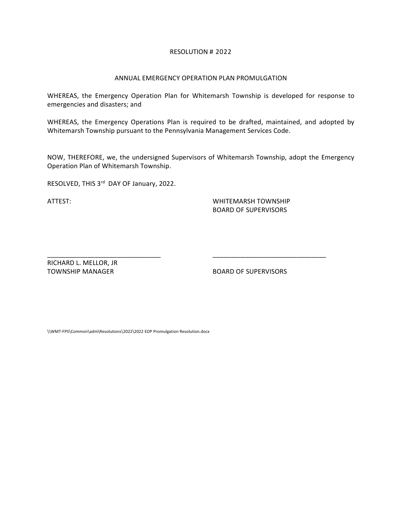#### RESOLUTION # 2022

#### ANNUAL EMERGENCY OPERATION PLAN PROMULGATION

WHEREAS, the Emergency Operation Plan for Whitemarsh Township is developed for response to emergencies and disasters; and

WHEREAS, the Emergency Operations Plan is required to be drafted, maintained, and adopted by Whitemarsh Township pursuant to the Pennsylvania Management Services Code.

NOW, THEREFORE, we, the undersigned Supervisors of Whitemarsh Township, adopt the Emergency Operation Plan of Whitemarsh Township.

\_\_\_\_\_\_\_\_\_\_\_\_\_\_\_\_\_\_\_\_\_\_\_\_\_\_\_\_\_\_\_ \_\_\_\_\_\_\_\_\_\_\_\_\_\_\_\_\_\_\_\_\_\_\_\_\_\_\_\_\_\_\_

RESOLVED, THIS 3<sup>rd</sup> DAY OF January, 2022.

ATTEST: WHITEMARSH TOWNSHIP BOARD OF SUPERVISORS

RICHARD L. MELLOR, JR

TOWNSHIP MANAGER BOARD OF SUPERVISORS

\\WMT-FPS\Common\adm\Resolutions\2022\2022 EOP Promulgation Resolution.docx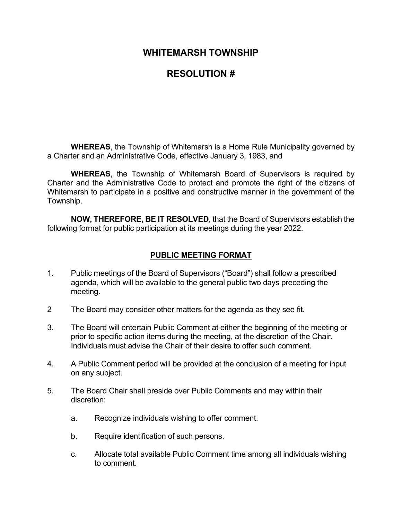# **RESOLUTION #**

**WHEREAS**, the Township of Whitemarsh is a Home Rule Municipality governed by a Charter and an Administrative Code, effective January 3, 1983, and

**WHEREAS**, the Township of Whitemarsh Board of Supervisors is required by Charter and the Administrative Code to protect and promote the right of the citizens of Whitemarsh to participate in a positive and constructive manner in the government of the Township.

**NOW, THEREFORE, BE IT RESOLVED**, that the Board of Supervisors establish the following format for public participation at its meetings during the year 2022.

# **PUBLIC MEETING FORMAT**

- 1. Public meetings of the Board of Supervisors ("Board") shall follow a prescribed agenda, which will be available to the general public two days preceding the meeting.
- 2 The Board may consider other matters for the agenda as they see fit.
- 3. The Board will entertain Public Comment at either the beginning of the meeting or prior to specific action items during the meeting, at the discretion of the Chair. Individuals must advise the Chair of their desire to offer such comment.
- 4. A Public Comment period will be provided at the conclusion of a meeting for input on any subject.
- 5. The Board Chair shall preside over Public Comments and may within their discretion:
	- a. Recognize individuals wishing to offer comment.
	- b. Require identification of such persons.
	- c. Allocate total available Public Comment time among all individuals wishing to comment.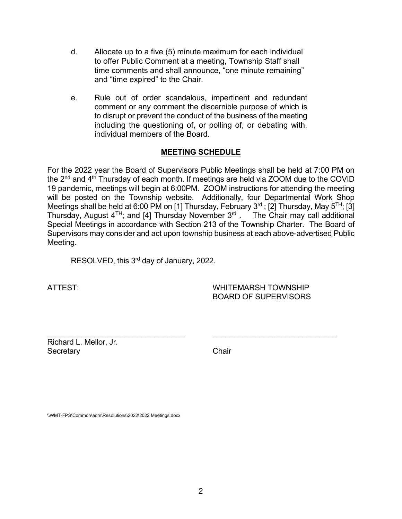- d. Allocate up to a five (5) minute maximum for each individual to offer Public Comment at a meeting, Township Staff shall time comments and shall announce, "one minute remaining" and "time expired" to the Chair.
- e. Rule out of order scandalous, impertinent and redundant comment or any comment the discernible purpose of which is to disrupt or prevent the conduct of the business of the meeting including the questioning of, or polling of, or debating with, individual members of the Board.

# **MEETING SCHEDULE**

For the 2022 year the Board of Supervisors Public Meetings shall be held at 7:00 PM on the  $2<sup>nd</sup>$  and  $4<sup>th</sup>$  Thursday of each month. If meetings are held via ZOOM due to the COVID 19 pandemic, meetings will begin at 6:00PM. ZOOM instructions for attending the meeting will be posted on the Township website. Additionally, four Departmental Work Shop Meetings shall be held at 6:00 PM on [1] Thursday, February  $3^{rd}$ ; [2] Thursday, May  $5^{TH}$ ; [3] Thursday, August  $4^{TH}$ ; and [4] Thursday November  $3^{rd}$  . The Chair may call additional Special Meetings in accordance with Section 213 of the Township Charter. The Board of Supervisors may consider and act upon township business at each above-advertised Public Meeting.

RESOLVED, this 3<sup>rd</sup> day of January, 2022.

ATTEST: WHITEMARSH TOWNSHIP BOARD OF SUPERVISORS

\_\_\_\_\_\_\_\_\_\_\_\_\_\_\_\_\_\_\_\_\_\_\_\_\_\_\_\_\_\_\_\_ \_\_\_\_\_\_\_\_\_\_\_\_\_\_\_\_\_\_\_\_\_\_\_\_\_\_\_\_\_ Richard L. Mellor, Jr. Secretary **Chair** 

\\WMT-FPS\Common\adm\Resolutions\2022\2022 Meetings.docx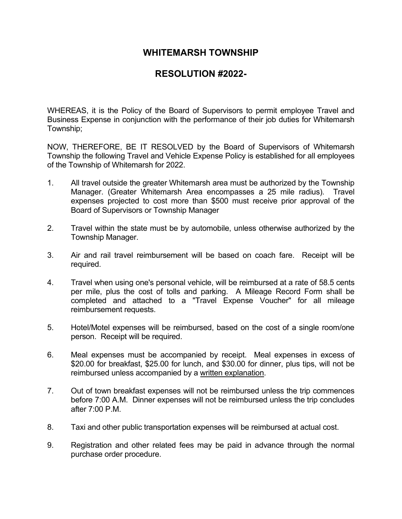# **RESOLUTION #2022-**

WHEREAS, it is the Policy of the Board of Supervisors to permit employee Travel and Business Expense in conjunction with the performance of their job duties for Whitemarsh Township;

NOW, THEREFORE, BE IT RESOLVED by the Board of Supervisors of Whitemarsh Township the following Travel and Vehicle Expense Policy is established for all employees of the Township of Whitemarsh for 2022.

- 1. All travel outside the greater Whitemarsh area must be authorized by the Township Manager. (Greater Whitemarsh Area encompasses a 25 mile radius). Travel expenses projected to cost more than \$500 must receive prior approval of the Board of Supervisors or Township Manager
- 2. Travel within the state must be by automobile, unless otherwise authorized by the Township Manager.
- 3. Air and rail travel reimbursement will be based on coach fare. Receipt will be required.
- 4. Travel when using one's personal vehicle, will be reimbursed at a rate of 58.5 cents per mile, plus the cost of tolls and parking. A Mileage Record Form shall be completed and attached to a "Travel Expense Voucher" for all mileage reimbursement requests.
- 5. Hotel/Motel expenses will be reimbursed, based on the cost of a single room/one person. Receipt will be required.
- 6. Meal expenses must be accompanied by receipt. Meal expenses in excess of \$20.00 for breakfast, \$25.00 for lunch, and \$30.00 for dinner, plus tips, will not be reimbursed unless accompanied by a written explanation.
- 7. Out of town breakfast expenses will not be reimbursed unless the trip commences before 7:00 A.M. Dinner expenses will not be reimbursed unless the trip concludes after 7:00 P.M.
- 8. Taxi and other public transportation expenses will be reimbursed at actual cost.
- 9. Registration and other related fees may be paid in advance through the normal purchase order procedure.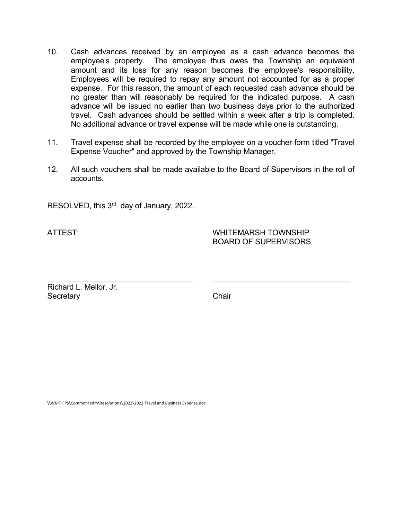- 10. Cash advances received by an employee as a cash advance becomes the employee's property. The employee thus owes the Township an equivalent amount and its loss for any reason becomes the employee's responsibility. Employees will be required to repay any amount not accounted for as a proper expense. For this reason, the amount of each requested cash advance should be no greater than will reasonably be required for the indicated purpose. A cash advance will be issued no earlier than two business days prior to the authorized travel. Cash advances should be settled within a week after a trip is completed. No additional advance or travel expense will be made while one is outstanding.
- 11. Travel expense shall be recorded by the employee on a voucher form titled "Travel Expense Voucher" and approved by the Township Manager.
- 12. All such vouchers shall be made available to the Board of Supervisors in the roll of accounts.

RESOLVED, this 3<sup>rd</sup> day of January, 2022.

ATTEST: WHITEMARSH TOWNSHIP BOARD OF SUPERVISORS

\_\_\_\_\_\_\_\_\_\_\_\_\_\_\_\_\_\_\_\_\_\_\_\_\_\_\_\_\_\_\_\_\_\_ \_\_\_\_\_\_\_\_\_\_\_\_\_\_\_\_\_\_\_\_\_\_\_\_\_\_\_\_\_\_\_\_ Richard L. Mellor, Jr. Secretary **Chair** 

\\WMT-FPS\Common\adm\Resolutions\2022\2022 Travel and Business Expense.doc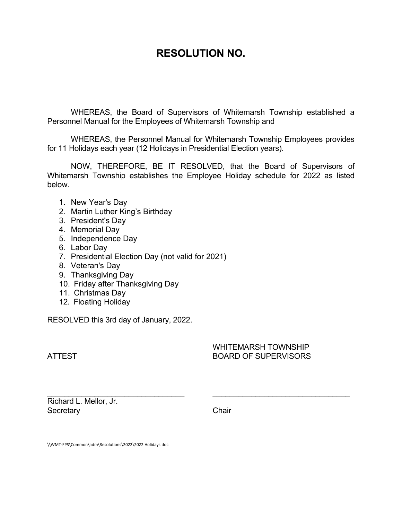# **RESOLUTION NO.**

WHEREAS, the Board of Supervisors of Whitemarsh Township established a Personnel Manual for the Employees of Whitemarsh Township and

WHEREAS, the Personnel Manual for Whitemarsh Township Employees provides for 11 Holidays each year (12 Holidays in Presidential Election years).

NOW, THEREFORE, BE IT RESOLVED, that the Board of Supervisors of Whitemarsh Township establishes the Employee Holiday schedule for 2022 as listed below.

- 1. New Year's Day
- 2. Martin Luther King's Birthday
- 3. President's Day
- 4. Memorial Day
- 5. Independence Day
- 6. Labor Day
- 7. Presidential Election Day (not valid for 2021)
- 8. Veteran's Day
- 9. Thanksgiving Day
- 10. Friday after Thanksgiving Day
- 11. Christmas Day
- 12. Floating Holiday

RESOLVED this 3rd day of January, 2022.

# WHITEMARSH TOWNSHIP ATTEST BOARD OF SUPERVISORS

\_\_\_\_\_\_\_\_\_\_\_\_\_\_\_\_\_\_\_\_\_\_\_\_\_\_\_\_\_\_\_\_ \_\_\_\_\_\_\_\_\_\_\_\_\_\_\_\_\_\_\_\_\_\_\_\_\_\_\_\_\_\_\_\_ Richard L. Mellor, Jr. Secretary **Chair** 

\\WMT-FPS\Common\adm\Resolutions\2022\2022 Holidays.doc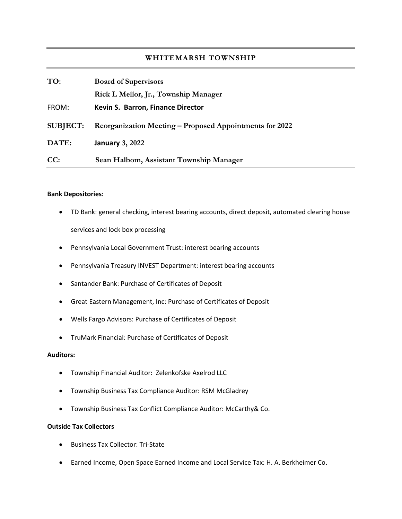| TO:             | <b>Board of Supervisors</b>                             |  |
|-----------------|---------------------------------------------------------|--|
|                 | Rick L Mellor, Jr., Township Manager                    |  |
| FROM:           | Kevin S. Barron, Finance Director                       |  |
| <b>SUBJECT:</b> | Reorganization Meeting – Proposed Appointments for 2022 |  |
| DATE:           | <b>January 3, 2022</b>                                  |  |
| CC:             | Sean Halbom, Assistant Township Manager                 |  |

#### **Bank Depositories:**

- TD Bank: general checking, interest bearing accounts, direct deposit, automated clearing house services and lock box processing
- Pennsylvania Local Government Trust: interest bearing accounts
- Pennsylvania Treasury INVEST Department: interest bearing accounts
- Santander Bank: Purchase of Certificates of Deposit
- Great Eastern Management, Inc: Purchase of Certificates of Deposit
- Wells Fargo Advisors: Purchase of Certificates of Deposit
- TruMark Financial: Purchase of Certificates of Deposit

#### **Auditors:**

- Township Financial Auditor: Zelenkofske Axelrod LLC
- Township Business Tax Compliance Auditor: RSM McGladrey
- Township Business Tax Conflict Compliance Auditor: McCarthy& Co.

# **Outside Tax Collectors**

- Business Tax Collector: Tri-State
- Earned Income, Open Space Earned Income and Local Service Tax: H. A. Berkheimer Co.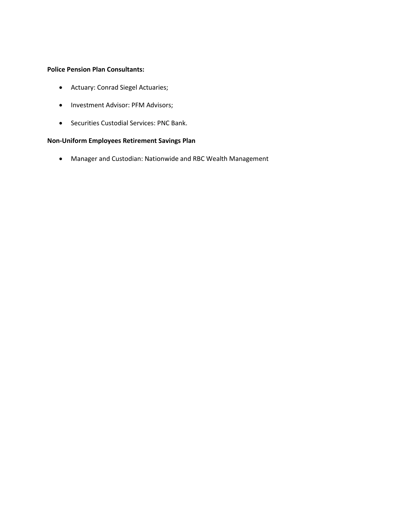# **Police Pension Plan Consultants:**

- Actuary: Conrad Siegel Actuaries;
- Investment Advisor: PFM Advisors;
- Securities Custodial Services: PNC Bank.

# **Non-Uniform Employees Retirement Savings Plan**

• Manager and Custodian: Nationwide and RBC Wealth Management